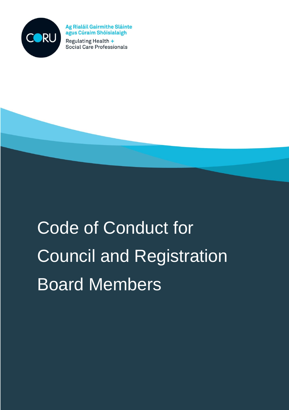

**Ag Rialáil Gairmithe Sláinte** agus Cúraim Shóisialaigh Regulating Health +

Social Care Professionals

# Code of Conduct for Council and Registration Board Members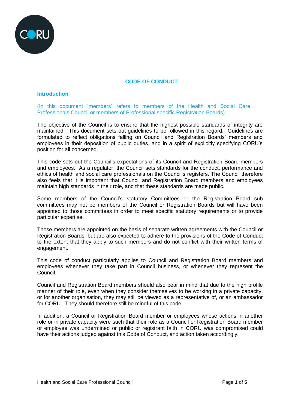

## **CODE OF CONDUCT**

#### **Introduction**

(In this document "members" refers to members of the Health and Social Care Professionals Council or members of Professional specific Registration Boards)

The objective of the Council is to ensure that the highest possible standards of integrity are maintained. This document sets out guidelines to be followed in this regard. Guidelines are formulated to reflect obligations falling on Council and Registration Boards' members and employees in their deposition of public duties, and in a spirit of explicitly specifying CORU's position for all concerned.

This code sets out the Council's expectations of its Council and Registration Board members and employees. As a regulator, the Council sets standards for the conduct, performance and ethics of health and social care professionals on the Council's registers. The Council therefore also feels that it is important that Council and Registration Board members and employees maintain high standards in their role, and that these standards are made public.

Some members of the Council's statutory Committees or the Registration Board sub committees may not be members of the Council or Registration Boards but will have been appointed to those committees in order to meet specific statutory requirements or to provide particular expertise.

Those members are appointed on the basis of separate written agreements with the Council or Registration Boards, but are also expected to adhere to the provisions of the Code of Conduct to the extent that they apply to such members and do not conflict with their written terms of engagement.

This code of conduct particularly applies to Council and Registration Board members and employees whenever they take part in Council business, or whenever they represent the Council.

Council and Registration Board members should also bear in mind that due to the high profile manner of their role, even when they consider themselves to be working in a private capacity, or for another organisation, they may still be viewed as a representative of, or an ambassador for CORU. They should therefore still be mindful of this code.

In addition, a Council or Registration Board member or employees whose actions in another role or in private capacity were such that their role as a Council or Registration Board member or employee was undermined or public or registrant faith in CORU was compromised could have their actions judged against this Code of Conduct, and action taken accordingly.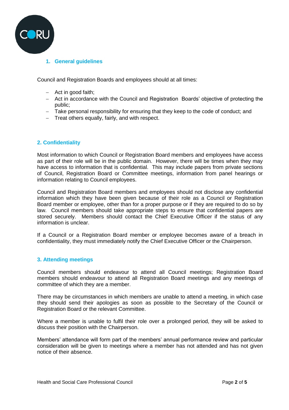

## **1. General guidelines**

Council and Registration Boards and employees should at all times:

- $-$  Act in good faith;
- Act in accordance with the Council and Registration Boards' objective of protecting the public;
- Take personal responsibility for ensuring that they keep to the code of conduct; and
- Treat others equally, fairly, and with respect.

#### **2. Confidentiality**

Most information to which Council or Registration Board members and employees have access as part of their role will be in the public domain. However, there will be times when they may have access to information that is confidential. This may include papers from private sections of Council, Registration Board or Committee meetings, information from panel hearings or information relating to Council employees.

Council and Registration Board members and employees should not disclose any confidential information which they have been given because of their role as a Council or Registration Board member or employee, other than for a proper purpose or if they are required to do so by law. Council members should take appropriate steps to ensure that confidential papers are stored securely. Members should contact the Chief Executive Officer if the status of any information is unclear.

If a Council or a Registration Board member or employee becomes aware of a breach in confidentiality, they must immediately notify the Chief Executive Officer or the Chairperson.

#### **3. Attending meetings**

Council members should endeavour to attend all Council meetings; Registration Board members should endeavour to attend all Registration Board meetings and any meetings of committee of which they are a member.

There may be circumstances in which members are unable to attend a meeting, in which case they should send their apologies as soon as possible to the Secretary of the Council or Registration Board or the relevant Committee.

Where a member is unable to fulfil their role over a prolonged period, they will be asked to discuss their position with the Chairperson.

Members' attendance will form part of the members' annual performance review and particular consideration will be given to meetings where a member has not attended and has not given notice of their absence.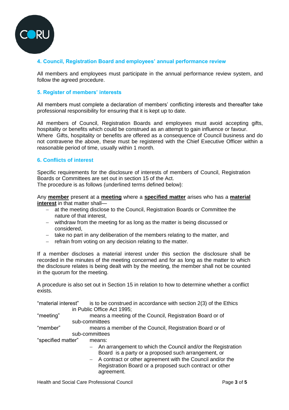

## **4. Council, Registration Board and employees' annual performance review**

All members and employees must participate in the annual performance review system, and follow the agreed procedure.

#### **5. Register of members' interests**

All members must complete a declaration of members' conflicting interests and thereafter take professional responsibility for ensuring that it is kept up to date.

All members of Council, Registration Boards and employees must avoid accepting gifts, hospitality or benefits which could be construed as an attempt to gain influence or favour. Where Gifts, hospitality or benefits are offered as a consequence of Council business and do not contravene the above, these must be registered with the Chief Executive Officer within a reasonable period of time, usually within 1 month.

#### **6. Conflicts of interest**

Specific requirements for the disclosure of interests of members of Council, Registration Boards or Committees are set out in section 15 of the Act.

The procedure is as follows (underlined terms defined below):

Any **member** present at a **meeting** where a **specified matter** arises who has a **material interest** in that matter shall—

- at the meeting disclose to the Council, Registration Boards or Committee the nature of that interest,
- withdraw from the meeting for as long as the matter is being discussed or considered,
- take no part in any deliberation of the members relating to the matter, and
- $-$  refrain from voting on any decision relating to the matter.

If a member discloses a material interest under this section the disclosure shall be recorded in the minutes of the meeting concerned and for as long as the matter to which the disclosure relates is being dealt with by the meeting, the member shall not be counted in the quorum for the meeting.

A procedure is also set out in Section 15 in relation to how to determine whether a conflict exists.

"material interest" is to be construed in accordance with section 2(3) of the Ethics in Public Office Act 1995;

"meeting" means a meeting of the Council, Registration Board or of sub-committees

| "member" | means a member of the Council, Registration Board or of |  |
|----------|---------------------------------------------------------|--|
|          | sub-committees                                          |  |

"specified matter" means:

- An arrangement to which the Council and/or the Registration Board is a party or a proposed such arrangement, or
- A contract or other agreement with the Council and/or the Registration Board or a proposed such contract or other agreement.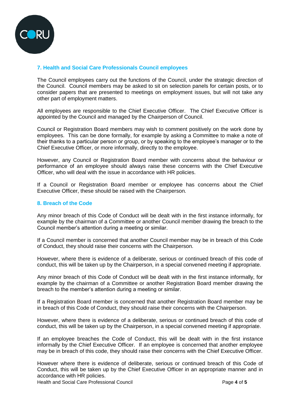

## **7. Health and Social Care Professionals Council employees**

The Council employees carry out the functions of the Council, under the strategic direction of the Council. Council members may be asked to sit on selection panels for certain posts, or to consider papers that are presented to meetings on employment issues, but will not take any other part of employment matters.

All employees are responsible to the Chief Executive Officer. The Chief Executive Officer is appointed by the Council and managed by the Chairperson of Council.

Council or Registration Board members may wish to comment positively on the work done by employees. This can be done formally, for example by asking a Committee to make a note of their thanks to a particular person or group, or by speaking to the employee's manager or to the Chief Executive Officer, or more informally, directly to the employee.

However, any Council or Registration Board member with concerns about the behaviour or performance of an employee should always raise these concerns with the Chief Executive Officer, who will deal with the issue in accordance with HR policies.

If a Council or Registration Board member or employee has concerns about the Chief Executive Officer, these should be raised with the Chairperson.

#### **8. Breach of the Code**

Any minor breach of this Code of Conduct will be dealt with in the first instance informally, for example by the chairman of a Committee or another Council member drawing the breach to the Council member's attention during a meeting or similar.

If a Council member is concerned that another Council member may be in breach of this Code of Conduct, they should raise their concerns with the Chairperson.

However, where there is evidence of a deliberate, serious or continued breach of this code of conduct, this will be taken up by the Chairperson, in a special convened meeting if appropriate.

Any minor breach of this Code of Conduct will be dealt with in the first instance informally, for example by the chairman of a Committee or another Registration Board member drawing the breach to the member's attention during a meeting or similar.

If a Registration Board member is concerned that another Registration Board member may be in breach of this Code of Conduct, they should raise their concerns with the Chairperson.

However, where there is evidence of a deliberate, serious or continued breach of this code of conduct, this will be taken up by the Chairperson, in a special convened meeting if appropriate.

If an employee breaches the Code of Conduct, this will be dealt with in the first instance informally by the Chief Executive Officer. If an employee is concerned that another employee may be in breach of this code, they should raise their concerns with the Chief Executive Officer.

However where there is evidence of deliberate, serious or continued breach of this Code of Conduct, this will be taken up by the Chief Executive Officer in an appropriate manner and in accordance with HR policies.

Health and Social Care Professional Council **Page 4** of 5